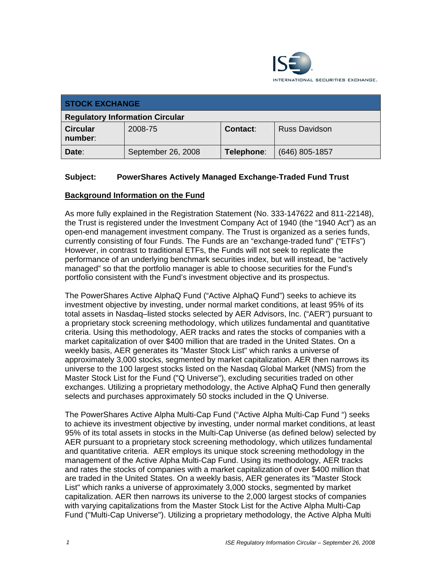

| <b>STOCK EXCHANGE</b>                  |                    |                 |                      |
|----------------------------------------|--------------------|-----------------|----------------------|
| <b>Regulatory Information Circular</b> |                    |                 |                      |
| <b>Circular</b><br>number:             | 2008-75            | <b>Contact:</b> | <b>Russ Davidson</b> |
| Date:                                  | September 26, 2008 | Telephone:      | $(646)$ 805-1857     |

## **Subject: PowerShares Actively Managed Exchange-Traded Fund Trust**

#### **Background Information on the Fund**

As more fully explained in the Registration Statement (No. 333-147622 and 811-22148), the Trust is registered under the Investment Company Act of 1940 (the "1940 Act") as an open-end management investment company. The Trust is organized as a series funds, currently consisting of four Funds. The Funds are an "exchange-traded fund" ("ETFs") However, in contrast to traditional ETFs, the Funds will not seek to replicate the performance of an underlying benchmark securities index, but will instead, be "actively managed" so that the portfolio manager is able to choose securities for the Fund's portfolio consistent with the Fund's investment objective and its prospectus.

The PowerShares Active AlphaQ Fund ("Active AlphaQ Fund") seeks to achieve its investment objective by investing, under normal market conditions, at least 95% of its total assets in Nasdaq–listed stocks selected by AER Advisors, Inc. ("AER") pursuant to a proprietary stock screening methodology, which utilizes fundamental and quantitative criteria. Using this methodology, AER tracks and rates the stocks of companies with a market capitalization of over \$400 million that are traded in the United States. On a weekly basis, AER generates its "Master Stock List" which ranks a universe of approximately 3,000 stocks, segmented by market capitalization. AER then narrows its universe to the 100 largest stocks listed on the Nasdaq Global Market (NMS) from the Master Stock List for the Fund ("Q Universe"), excluding securities traded on other exchanges. Utilizing a proprietary methodology, the Active AlphaQ Fund then generally selects and purchases approximately 50 stocks included in the Q Universe.

The PowerShares Active Alpha Multi-Cap Fund ("Active Alpha Multi-Cap Fund ") seeks to achieve its investment objective by investing, under normal market conditions, at least 95% of its total assets in stocks in the Multi-Cap Universe (as defined below) selected by AER pursuant to a proprietary stock screening methodology, which utilizes fundamental and quantitative criteria. AER employs its unique stock screening methodology in the management of the Active Alpha Multi-Cap Fund. Using its methodology, AER tracks and rates the stocks of companies with a market capitalization of over \$400 million that are traded in the United States. On a weekly basis, AER generates its "Master Stock List" which ranks a universe of approximately 3,000 stocks, segmented by market capitalization. AER then narrows its universe to the 2,000 largest stocks of companies with varying capitalizations from the Master Stock List for the Active Alpha Multi-Cap Fund ("Multi-Cap Universe"). Utilizing a proprietary methodology, the Active Alpha Multi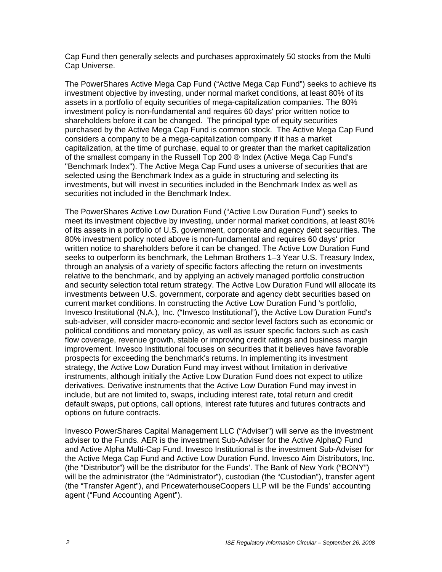Cap Fund then generally selects and purchases approximately 50 stocks from the Multi Cap Universe.

The PowerShares Active Mega Cap Fund ("Active Mega Cap Fund") seeks to achieve its investment objective by investing, under normal market conditions, at least 80% of its assets in a portfolio of equity securities of mega-capitalization companies. The 80% investment policy is non-fundamental and requires 60 days' prior written notice to shareholders before it can be changed. The principal type of equity securities purchased by the Active Mega Cap Fund is common stock. The Active Mega Cap Fund considers a company to be a mega-capitalization company if it has a market capitalization, at the time of purchase, equal to or greater than the market capitalization of the smallest company in the Russell Top 200 ® Index (Active Mega Cap Fund's "Benchmark Index"). The Active Mega Cap Fund uses a universe of securities that are selected using the Benchmark Index as a guide in structuring and selecting its investments, but will invest in securities included in the Benchmark Index as well as securities not included in the Benchmark Index.

The PowerShares Active Low Duration Fund ("Active Low Duration Fund") seeks to meet its investment objective by investing, under normal market conditions, at least 80% of its assets in a portfolio of U.S. government, corporate and agency debt securities. The 80% investment policy noted above is non-fundamental and requires 60 days' prior written notice to shareholders before it can be changed. The Active Low Duration Fund seeks to outperform its benchmark, the Lehman Brothers 1–3 Year U.S. Treasury Index, through an analysis of a variety of specific factors affecting the return on investments relative to the benchmark, and by applying an actively managed portfolio construction and security selection total return strategy. The Active Low Duration Fund will allocate its investments between U.S. government, corporate and agency debt securities based on current market conditions. In constructing the Active Low Duration Fund 's portfolio, Invesco Institutional (N.A.), Inc. ("Invesco Institutional"), the Active Low Duration Fund's sub-adviser, will consider macro-economic and sector level factors such as economic or political conditions and monetary policy, as well as issuer specific factors such as cash flow coverage, revenue growth, stable or improving credit ratings and business margin improvement. Invesco Institutional focuses on securities that it believes have favorable prospects for exceeding the benchmark's returns. In implementing its investment strategy, the Active Low Duration Fund may invest without limitation in derivative instruments, although initially the Active Low Duration Fund does not expect to utilize derivatives. Derivative instruments that the Active Low Duration Fund may invest in include, but are not limited to, swaps, including interest rate, total return and credit default swaps, put options, call options, interest rate futures and futures contracts and options on future contracts.

Invesco PowerShares Capital Management LLC ("Adviser") will serve as the investment adviser to the Funds. AER is the investment Sub-Adviser for the Active AlphaQ Fund and Active Alpha Multi-Cap Fund. Invesco Institutional is the investment Sub-Adviser for the Active Mega Cap Fund and Active Low Duration Fund. Invesco Aim Distributors, Inc. (the "Distributor") will be the distributor for the Funds'. The Bank of New York ("BONY") will be the administrator (the "Administrator"), custodian (the "Custodian"), transfer agent (the "Transfer Agent"), and PricewaterhouseCoopers LLP will be the Funds' accounting agent ("Fund Accounting Agent").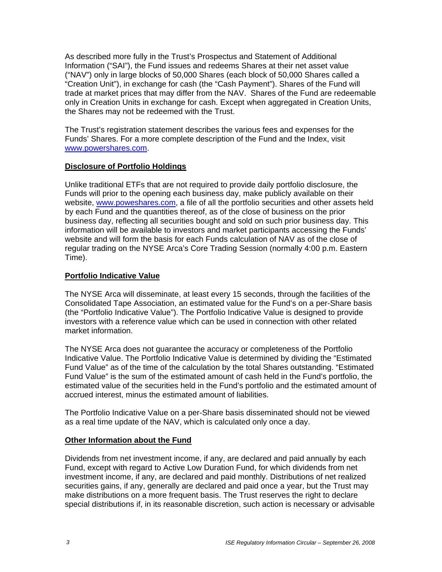As described more fully in the Trust's Prospectus and Statement of Additional Information ("SAI"), the Fund issues and redeems Shares at their net asset value ("NAV") only in large blocks of 50,000 Shares (each block of 50,000 Shares called a "Creation Unit"), in exchange for cash (the "Cash Payment"). Shares of the Fund will trade at market prices that may differ from the NAV. Shares of the Fund are redeemable only in Creation Units in exchange for cash. Except when aggregated in Creation Units, the Shares may not be redeemed with the Trust.

The Trust's registration statement describes the various fees and expenses for the Funds' Shares. For a more complete description of the Fund and the Index, visit www.powershares.com.

## **Disclosure of Portfolio Holdings**

Unlike traditional ETFs that are not required to provide daily portfolio disclosure, the Funds will prior to the opening each business day, make publicly available on their website, www.poweshares.com, a file of all the portfolio securities and other assets held by each Fund and the quantities thereof, as of the close of business on the prior business day, reflecting all securities bought and sold on such prior business day. This information will be available to investors and market participants accessing the Funds' website and will form the basis for each Funds calculation of NAV as of the close of regular trading on the NYSE Arca's Core Trading Session (normally 4:00 p.m. Eastern Time).

## **Portfolio Indicative Value**

The NYSE Arca will disseminate, at least every 15 seconds, through the facilities of the Consolidated Tape Association, an estimated value for the Fund's on a per-Share basis (the "Portfolio Indicative Value"). The Portfolio Indicative Value is designed to provide investors with a reference value which can be used in connection with other related market information.

The NYSE Arca does not guarantee the accuracy or completeness of the Portfolio Indicative Value. The Portfolio Indicative Value is determined by dividing the "Estimated Fund Value" as of the time of the calculation by the total Shares outstanding. "Estimated Fund Value" is the sum of the estimated amount of cash held in the Fund's portfolio, the estimated value of the securities held in the Fund's portfolio and the estimated amount of accrued interest, minus the estimated amount of liabilities.

The Portfolio Indicative Value on a per-Share basis disseminated should not be viewed as a real time update of the NAV, which is calculated only once a day.

# **Other Information about the Fund**

Dividends from net investment income, if any, are declared and paid annually by each Fund, except with regard to Active Low Duration Fund, for which dividends from net investment income, if any, are declared and paid monthly. Distributions of net realized securities gains, if any, generally are declared and paid once a year, but the Trust may make distributions on a more frequent basis. The Trust reserves the right to declare special distributions if, in its reasonable discretion, such action is necessary or advisable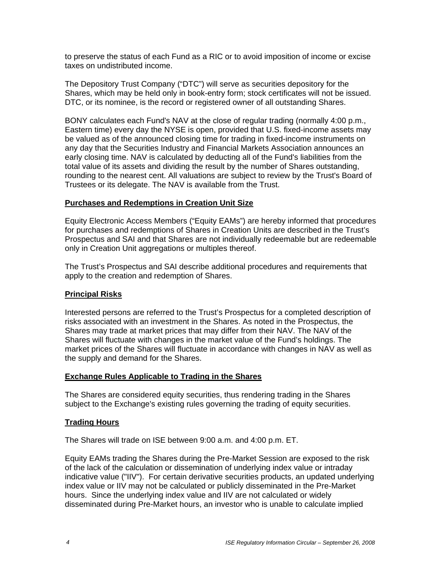to preserve the status of each Fund as a RIC or to avoid imposition of income or excise taxes on undistributed income.

The Depository Trust Company ("DTC") will serve as securities depository for the Shares, which may be held only in book-entry form; stock certificates will not be issued. DTC, or its nominee, is the record or registered owner of all outstanding Shares.

BONY calculates each Fund's NAV at the close of regular trading (normally 4:00 p.m., Eastern time) every day the NYSE is open, provided that U.S. fixed-income assets may be valued as of the announced closing time for trading in fixed-income instruments on any day that the Securities Industry and Financial Markets Association announces an early closing time. NAV is calculated by deducting all of the Fund's liabilities from the total value of its assets and dividing the result by the number of Shares outstanding, rounding to the nearest cent. All valuations are subject to review by the Trust's Board of Trustees or its delegate. The NAV is available from the Trust.

#### **Purchases and Redemptions in Creation Unit Size**

Equity Electronic Access Members ("Equity EAMs") are hereby informed that procedures for purchases and redemptions of Shares in Creation Units are described in the Trust's Prospectus and SAI and that Shares are not individually redeemable but are redeemable only in Creation Unit aggregations or multiples thereof.

The Trust's Prospectus and SAI describe additional procedures and requirements that apply to the creation and redemption of Shares.

### **Principal Risks**

Interested persons are referred to the Trust's Prospectus for a completed description of risks associated with an investment in the Shares. As noted in the Prospectus, the Shares may trade at market prices that may differ from their NAV. The NAV of the Shares will fluctuate with changes in the market value of the Fund's holdings. The market prices of the Shares will fluctuate in accordance with changes in NAV as well as the supply and demand for the Shares.

#### **Exchange Rules Applicable to Trading in the Shares**

The Shares are considered equity securities, thus rendering trading in the Shares subject to the Exchange's existing rules governing the trading of equity securities.

#### **Trading Hours**

The Shares will trade on ISE between 9:00 a.m. and 4:00 p.m. ET.

Equity EAMs trading the Shares during the Pre-Market Session are exposed to the risk of the lack of the calculation or dissemination of underlying index value or intraday indicative value ("IIV"). For certain derivative securities products, an updated underlying index value or IIV may not be calculated or publicly disseminated in the Pre-Market hours. Since the underlying index value and IIV are not calculated or widely disseminated during Pre-Market hours, an investor who is unable to calculate implied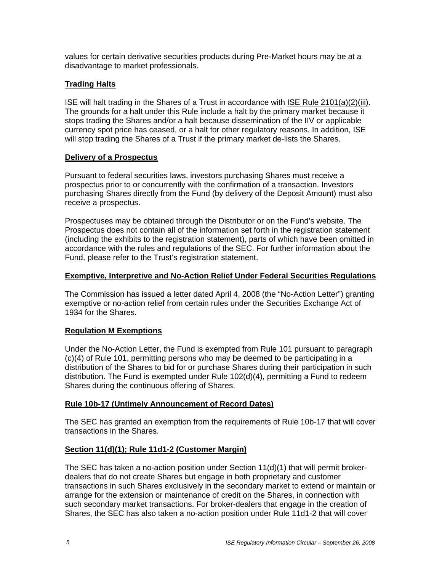values for certain derivative securities products during Pre-Market hours may be at a disadvantage to market professionals.

# **Trading Halts**

ISE will halt trading in the Shares of a Trust in accordance with ISE Rule 2101(a)(2)(iii). The grounds for a halt under this Rule include a halt by the primary market because it stops trading the Shares and/or a halt because dissemination of the IIV or applicable currency spot price has ceased, or a halt for other regulatory reasons. In addition, ISE will stop trading the Shares of a Trust if the primary market de-lists the Shares.

### **Delivery of a Prospectus**

Pursuant to federal securities laws, investors purchasing Shares must receive a prospectus prior to or concurrently with the confirmation of a transaction. Investors purchasing Shares directly from the Fund (by delivery of the Deposit Amount) must also receive a prospectus.

Prospectuses may be obtained through the Distributor or on the Fund's website. The Prospectus does not contain all of the information set forth in the registration statement (including the exhibits to the registration statement), parts of which have been omitted in accordance with the rules and regulations of the SEC. For further information about the Fund, please refer to the Trust's registration statement.

## **Exemptive, Interpretive and No-Action Relief Under Federal Securities Regulations**

The Commission has issued a letter dated April 4, 2008 (the "No-Action Letter") granting exemptive or no-action relief from certain rules under the Securities Exchange Act of 1934 for the Shares.

# **Regulation M Exemptions**

Under the No-Action Letter, the Fund is exempted from Rule 101 pursuant to paragraph (c)(4) of Rule 101, permitting persons who may be deemed to be participating in a distribution of the Shares to bid for or purchase Shares during their participation in such distribution. The Fund is exempted under Rule 102(d)(4), permitting a Fund to redeem Shares during the continuous offering of Shares.

### **Rule 10b-17 (Untimely Announcement of Record Dates)**

The SEC has granted an exemption from the requirements of Rule 10b-17 that will cover transactions in the Shares.

# **Section 11(d)(1); Rule 11d1-2 (Customer Margin)**

The SEC has taken a no-action position under Section  $11(d)(1)$  that will permit brokerdealers that do not create Shares but engage in both proprietary and customer transactions in such Shares exclusively in the secondary market to extend or maintain or arrange for the extension or maintenance of credit on the Shares, in connection with such secondary market transactions. For broker-dealers that engage in the creation of Shares, the SEC has also taken a no-action position under Rule 11d1-2 that will cover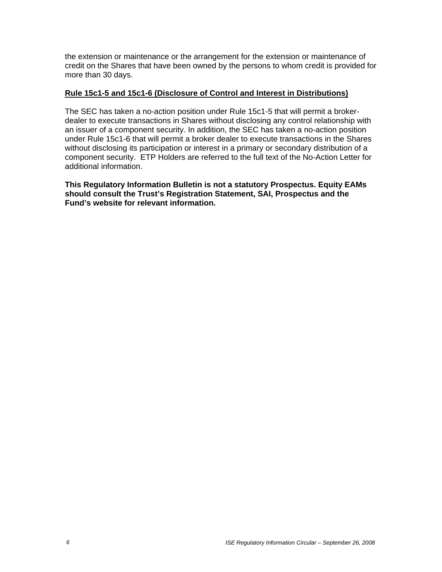the extension or maintenance or the arrangement for the extension or maintenance of credit on the Shares that have been owned by the persons to whom credit is provided for more than 30 days.

### **Rule 15c1-5 and 15c1-6 (Disclosure of Control and Interest in Distributions)**

The SEC has taken a no-action position under Rule 15c1-5 that will permit a brokerdealer to execute transactions in Shares without disclosing any control relationship with an issuer of a component security. In addition, the SEC has taken a no-action position under Rule 15c1-6 that will permit a broker dealer to execute transactions in the Shares without disclosing its participation or interest in a primary or secondary distribution of a component security. ETP Holders are referred to the full text of the No-Action Letter for additional information.

**This Regulatory Information Bulletin is not a statutory Prospectus. Equity EAMs should consult the Trust's Registration Statement, SAI, Prospectus and the Fund's website for relevant information.**